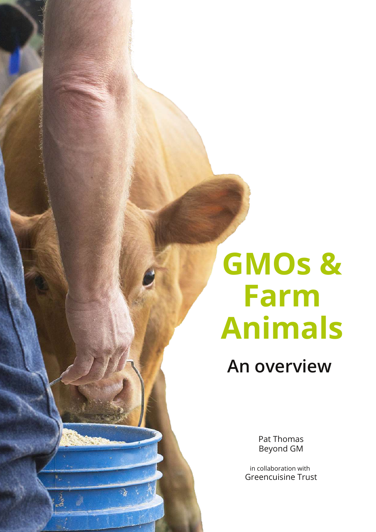# **GMOs & Farm Animals**

**An overview**

Pat Thomas Beyond GM

in collaboration with Greencuisine Trust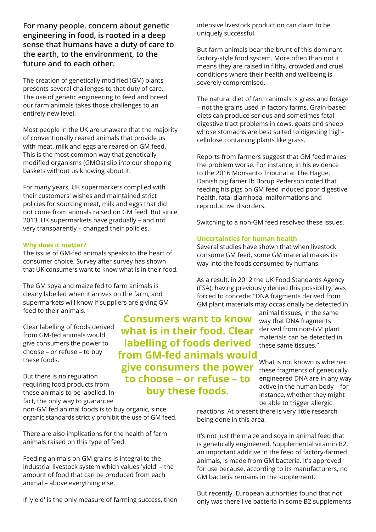**For many people, concern about genetic engineering in food, is rooted in a deep sense that humans have a duty of care to the earth, to the environment, to the future and to each other.**

The creation of genetically modified (GM) plants presents several challenges to that duty of care. The use of genetic engineering to feed and breed our farm animals takes those challenges to an entirely new level.

Most people in the UK are unaware that the majority of conventionally reared animals that provide us with meat, milk and eggs are reared on GM feed. This is the most common way that genetically modified organisms (GMOs) slip into our shopping baskets without us knowing about it.

For many years, UK supermarkets complied with their customers' wishes and maintained strict policies for sourcing meat, milk and eggs that did not come from animals raised on GM feed. But since 2013, UK supermarkets have gradually – and not very transparently – changed their policies.

#### **Why does it matter?**

The issue of GM-fed animals speaks to the heart of consumer choice. Survey after survey has shown that UK consumers want to know what is in their food.

The GM soya and maize fed to farm animals is clearly labelled when it arrives on the farm, and supermarkets will know if suppliers are giving GM feed to their animals.

Clear labelling of foods derived from GM-fed animals would give consumers the power to choose – or refuse – to buy these foods.

But there is no regulation requiring food products from these animals to be labelled. In fact, the only way to guarantee

non-GM fed animal foods is to buy organic, since organic standards strictly prohibit the use of GM feed.

There are also implications for the health of farm animals raised on this type of feed.

Feeding animals on GM grains is integral to the industrial livestock system which values 'yield' – the amount of food that can be produced from each animal – above everything else.

If 'yield' is the only measure of farming success, then

**Consumers want to know what is in their food. Clear labelling of foods derived from GM-fed animals would give consumers the power to choose – or refuse – to buy these foods.**

intensive livestock production can claim to be uniquely successful.

But farm animals bear the brunt of this dominant factory-style food system. More often than not it means they are raised in filthy, crowded and cruel conditions where their health and wellbeing is severely compromised.

The natural diet of farm animals is grass and forage – not the grains used in factory farms. Grain-based diets can produce serious and sometimes fatal digestive tract problems in cows, goats and sheep whose stomachs are best suited to digesting highcellulose containing plants like grass.

Reports from farmers suggest that GM feed makes the problem worse. For instance, in his evidence to the 2016 Monsanto Tribunal at The Hague, Danish pig famer Ib Borup Pederson noted that feeding his pigs on GM feed induced poor digestive health, fatal diarrhoea, malformations and reproductive disorders.

Switching to a non-GM feed resolved these issues.

## **Uncertainties for human health**

Several studies have shown that when livestock consume GM feed, some GM material makes its way into the foods consumed by humans.

As a result, in 2012 the UK Food Standards Agency (FSA), having previously denied this possibility, was forced to concede: "DNA fragments derived from GM plant materials may occasionally be detected in

> animal tissues, in the same way that DNA fragments derived from non-GM plant materials can be detected in these same tissues."

What is not known is whether these fragments of genetically engineered DNA are in any way active in the human body – for instance, whether they might be able to trigger allergic

reactions. At present there is very little research being done in this area.

It's not just the maize and soya in animal feed that is genetically engineered. Supplemental vitamin B2, an important additive in the feed of factory-farmed animals, is made from GM bacteria. It's approved for use because, according to its manufacturers, no GM bacteria remains in the supplement.

But recently, European authorities found that not only was there live bacteria in some B2 supplements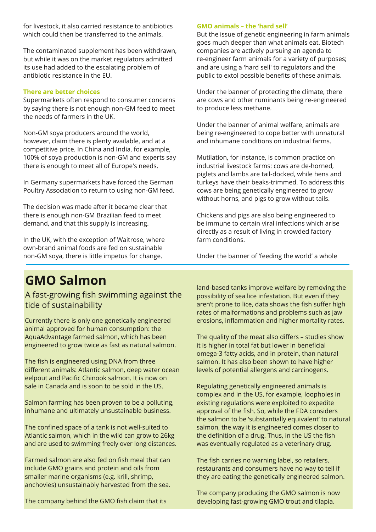for livestock, it also carried resistance to antibiotics which could then be transferred to the animals.

The contaminated supplement has been withdrawn, but while it was on the market regulators admitted its use had added to the escalating problem of antibiotic resistance in the EU.

# **There are better choices**

Supermarkets often respond to consumer concerns by saying there is not enough non-GM feed to meet the needs of farmers in the UK.

Non-GM soya producers around the world, however, claim there is plenty available, and at a competitive price. In China and India, for example, 100% of soya production is non-GM and experts say there is enough to meet all of Europe's needs.

In Germany supermarkets have forced the German Poultry Association to return to using non-GM feed.

The decision was made after it became clear that there is enough non-GM Brazilian feed to meet demand, and that this supply is increasing.

In the UK, with the exception of Waitrose, where own-brand animal foods are fed on sustainable non-GM soya, there is little impetus for change.

## **GMO animals – the 'hard sell'**

But the issue of genetic engineering in farm animals goes much deeper than what animals eat. Biotech companies are actively pursuing an agenda to re-engineer farm animals for a variety of purposes; and are using a 'hard sell' to regulators and the public to extol possible benefits of these animals.

Under the banner of protecting the climate, there are cows and other ruminants being re-engineered to produce less methane.

Under the banner of animal welfare, animals are being re-engineered to cope better with unnatural and inhumane conditions on industrial farms.

Mutilation, for instance, is common practice on industrial livestock farms: cows are de-horned, piglets and lambs are tail-docked, while hens and turkeys have their beaks-trimmed. To address this cows are being genetically engineered to grow without horns, and pigs to grow without tails.

Chickens and pigs are also being engineered to be immune to certain viral infections which arise directly as a result of living in crowded factory farm conditions.

Under the banner of 'feeding the world' a whole

# **GMO Salmon**

A fast-growing fish swimming against the tide of sustainability

Currently there is only one genetically engineered animal approved for human consumption: the AquaAdvantage farmed salmon, which has been engineered to grow twice as fast as natural salmon.

The fish is engineered using DNA from three different animals: Atlantic salmon, deep water ocean eelpout and Pacific Chinook salmon. It is now on sale in Canada and is soon to be sold in the US.

Salmon farming has been proven to be a polluting, inhumane and ultimately unsustainable business.

The confined space of a tank is not well-suited to Atlantic salmon, which in the wild can grow to 26kg and are used to swimming freely over long distances.

Farmed salmon are also fed on fish meal that can include GMO grains and protein and oils from smaller marine organisms (e.g. krill, shrimp, anchovies) unsustainably harvested from the sea.

The company behind the GMO fish claim that its

land-based tanks improve welfare by removing the possibility of sea lice infestation. But even if they aren't prone to lice, data shows the fish suffer high rates of malformations and problems such as jaw erosions, inflammation and higher mortality rates.

The quality of the meat also differs – studies show it is higher in total fat but lower in beneficial omega-3 fatty acids, and in protein, than natural salmon. It has also been shown to have higher levels of potential allergens and carcinogens.

Regulating genetically engineered animals is complex and in the US, for example, loopholes in existing regulations were exploited to expedite approval of the fish. So, while the FDA considers the salmon to be 'substantially equivalent' to natural salmon, the way it is engineered comes closer to the definition of a drug. Thus, in the US the fish was eventually regulated as a veterinary drug.

The fish carries no warning label, so retailers, restaurants and consumers have no way to tell if they are eating the genetically engineered salmon.

The company producing the GMO salmon is now developing fast-growing GMO trout and tilapia.